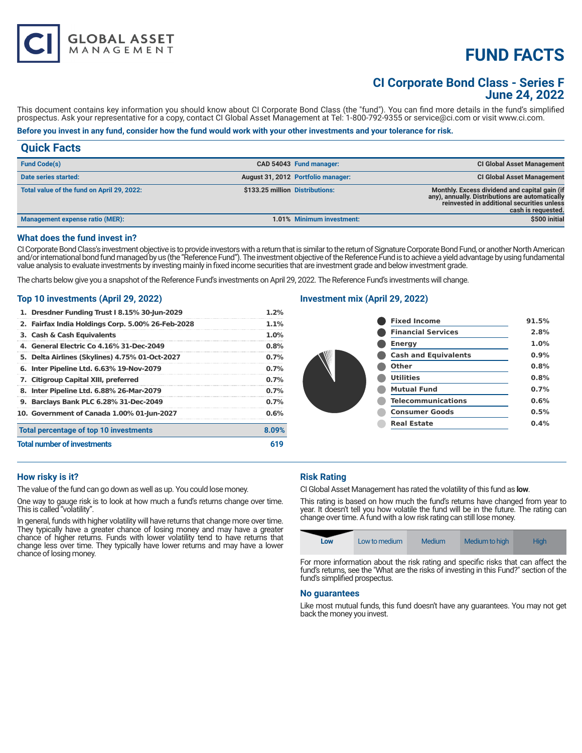# **FUND FACTS**

# **CI Corporate Bond Class - Series F June 24, 2022**

This document contains key information you should know about CI Corporate Bond Class (the "fund"). You can find more details in the fund's simplified prospectus. Ask your representative for a copy, contact CI Global Asset Management at Tel: 1-800-792-9355 or service@ci.com or visit www.ci.com.

# **Before you invest in any fund, consider how the fund would work with your other investments and your tolerance for risk.**

# **Quick Facts**

| <b>Fund Code(s)</b>                        |                                 | CAD 54043 Fund manager:            | <b>CI Global Asset Management</b>                                                                                                                                    |
|--------------------------------------------|---------------------------------|------------------------------------|----------------------------------------------------------------------------------------------------------------------------------------------------------------------|
| Date series started:                       |                                 | August 31, 2012 Portfolio manager: | <b>CI Global Asset Management</b>                                                                                                                                    |
| Total value of the fund on April 29, 2022: | \$133.25 million Distributions: |                                    | Monthly. Excess dividend and capital gain (if<br>any), annually. Distributions are automatically<br>reinvested in additional securities unless<br>cash is requested. |
| <b>Management expense ratio (MER):</b>     |                                 | 1.01% Minimum investment:          | \$500 initial                                                                                                                                                        |

#### **What does the fund invest in?**

CI Corporate Bond Class's investment objective is to provide investors with a return that is similar to the return of Signature Corporate Bond Fund, or another North American and/or international bond fund managed by us (the "Reference Fund"). The investment objective of the Reference Fund is to achieve a yield advantage by using fundamental value analysis to evaluate investments by investing mainly in fixed income securities that are investment grade and below investment grade.

The charts below give you a snapshot of the Reference Fund's investments on April 29, 2022. The Reference Fund's investments will change.

# **Top 10 investments (April 29, 2022)**

**GLOBAL ASSET**<br>MANAGEMENT

| 1. Dresdner Funding Trust I 8.15% 30-Jun-2029     | 1.2%    |
|---------------------------------------------------|---------|
| 2. Fairfax India Holdings Corp. 5.00% 26-Feb-2028 | 1.1%    |
| 3. Cash & Cash Equivalents                        | 1.0%    |
| 4. General Electric Co 4.16% 31-Dec-2049          | 0.8%    |
| 5. Delta Airlines (Skylines) 4.75% 01-Oct-2027    | $0.7\%$ |
| 6. Inter Pipeline Ltd. 6.63% 19-Nov-2079          | 0.7%    |
| 7. Citigroup Capital XIII, preferred              | 0.7%    |
| 8. Inter Pipeline Ltd. 6.88% 26-Mar-2079          | 0.7%    |
| 9. Barclays Bank PLC 6.28% 31-Dec-2049            | $0.7\%$ |
| 10. Government of Canada 1.00% 01-Jun-2027        | 0.6%    |
| Total percentage of top 10 investments            | 8.09%   |
| <b>Total number of investments</b>                | 619     |

# **Investment mix (April 29, 2022)**

|  | <b>Fixed Income</b>         | 91.5% |
|--|-----------------------------|-------|
|  | <b>Financial Services</b>   | 2.8%  |
|  | <b>Energy</b>               | 1.0%  |
|  | <b>Cash and Equivalents</b> | 0.9%  |
|  | Other                       | 0.8%  |
|  | <b>Utilities</b>            | 0.8%  |
|  | <b>Mutual Fund</b>          | 0.7%  |
|  | <b>Telecommunications</b>   | 0.6%  |
|  | <b>Consumer Goods</b>       | 0.5%  |
|  | <b>Real Estate</b>          | 0.4%  |
|  |                             |       |

#### **How risky is it?**

The value of the fund can go down as well as up. You could lose money.

One way to gauge risk is to look at how much a fund's returns change over time. This is called "volatility".

In general, funds with higher volatility will have returns that change more over time. They typically have a greater chance of losing money and may have a greater chance of higher returns. Funds with lower volatility tend to have returns that change less over time. They typically have lower returns and may have a lower chance of losing money.

# **Risk Rating**

CI Global Asset Management has rated the volatility of this fund as **low**.

This rating is based on how much the fund's returns have changed from year to year. It doesn't tell you how volatile the fund will be in the future. The rating can change over time. A fund with a low risk rating can still lose money.

|  | Low | Low to medium | Medium | Medium to high | High |
|--|-----|---------------|--------|----------------|------|
|--|-----|---------------|--------|----------------|------|

For more information about the risk rating and specific risks that can affect the fund's returns, see the "What are the risks of investing in this Fund?" section of the fund's simplified prospectus.

#### **No guarantees**

Like most mutual funds, this fund doesn't have any guarantees. You may not get back the money you invest.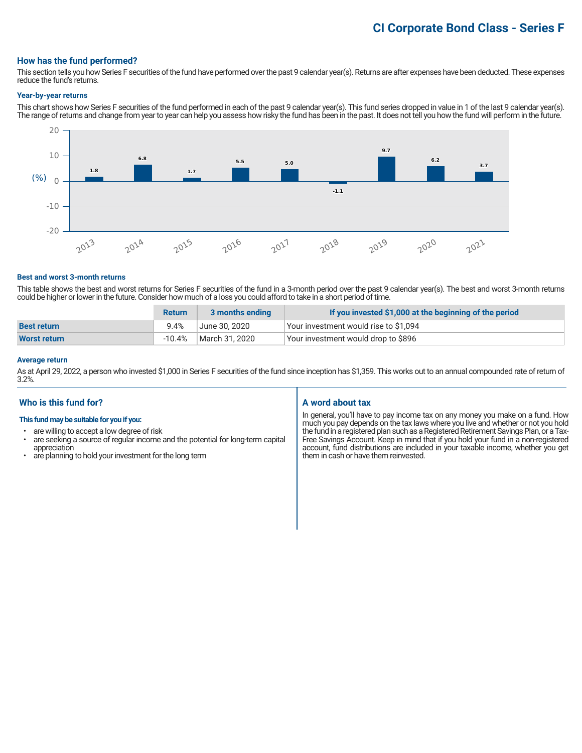# **CI Corporate Bond Class - Series F**

#### **How has the fund performed?**

This section tells you how Series F securities of the fund have performed over the past 9 calendar year(s). Returns are after expenses have been deducted. These expenses reduce the fund's returns.

#### **Year-by-year returns**

This chart shows how Series F securities of the fund performed in each of the past 9 calendar year(s). This fund series dropped in value in 1 of the last 9 calendar year(s). The range of returns and change from year to year can help you assess how risky the fund has been in the past. It does not tell you how the fund will perform in the future.



#### **Best and worst 3-month returns**

This table shows the best and worst returns for Series F securities of the fund in a 3-month period over the past 9 calendar year(s). The best and worst 3-month returns could be higher or lower in the future. Consider how much of a loss you could afford to take in a short period of time.

|                     | <b>Return</b> | 3 months ending | If you invested \$1,000 at the beginning of the period |
|---------------------|---------------|-----------------|--------------------------------------------------------|
| <b>Best return</b>  | 9.4%          | June 30. 2020   | Your investment would rise to \$1,094                  |
| <b>Worst return</b> | -10.4%        | March 31, 2020  | Your investment would drop to \$896                    |

### **Average return**

As at April 29, 2022, a person who invested \$1,000 in Series F securities of the fund since inception has \$1,359. This works out to an annual compounded rate of return of 3.2%.

# **Who is this fund for?**

#### **This fund may be suitable for you if you:**

- are willing to accept a low degree of risk
- are seeking a source of regular income and the potential for long-term capital appreciation
- are planning to hold your investment for the long term

# **A word about tax**

In general, you'll have to pay income tax on any money you make on a fund. How much you pay depends on the tax laws where you live and whether or not you hold the fund in a registered plan such as a Registered Retirement Savings Plan, or a Tax-Free Savings Account. Keep in mind that if you hold your fund in a non-registered account, fund distributions are included in your taxable income, whether you get them in cash or have them reinvested.